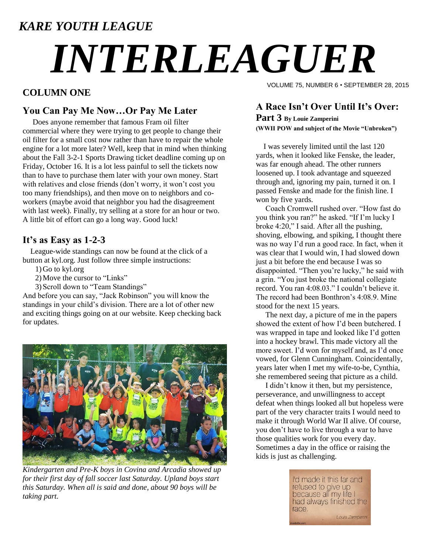### *KARE YOUTH LEAGUE*

# *INTERLEAGUER*

#### **COLUMN ONE**

#### **You Can Pay Me Now…Or Pay Me Later**

Does anyone remember that famous Fram oil filter commercial where they were trying to get people to change their oil filter for a small cost now rather than have to repair the whole engine for a lot more later? Well, keep that in mind when thinking about the Fall 3-2-1 Sports Drawing ticket deadline coming up on Friday, October 16. It is a lot less painful to sell the tickets now than to have to purchase them later with your own money. Start with relatives and close friends (don't worry, it won't cost you too many friendships), and then move on to neighbors and coworkers (maybe avoid that neighbor you had the disagreement with last week). Finally, try selling at a store for an hour or two. A little bit of effort can go a long way. Good luck!

#### **It's as Easy as 1-2-3**

 League-wide standings can now be found at the click of a button at kyl.org. Just follow three simple instructions:

1) Go to kyl.org

- 2)Move the cursor to "Links"
- 3) Scroll down to "Team Standings"

And before you can say, "Jack Robinson" you will know the standings in your child's division. There are a lot of other new and exciting things going on at our website. Keep checking back for updates.



*Kindergarten and Pre-K boys in Covina and Arcadia showed up for their first day of fall soccer last Saturday. Upland boys start this Saturday. When all is said and done, about 90 boys will be taking part.*

VOLUME 75, NUMBER 6 • SEPTEMBER 28, 2015

#### **A Race Isn't Over Until It's Over:**

**Part 3 By Louie Zamperini (WWII POW and subject of the Movie "Unbroken")**

 I was severely limited until the last 120 yards, when it looked like Fenske, the leader, was far enough ahead. The other runners loosened up. I took advantage and squeezed through and, ignoring my pain, turned it on. I passed Fenske and made for the finish line. I won by five yards.

 Coach Cromwell rushed over. "How fast do you think you ran?" he asked. "If I'm lucky I broke 4:20," I said. After all the pushing, shoving, elbowing, and spiking, I thought there was no way I'd run a good race. In fact, when it was clear that I would win, I had slowed down just a bit before the end because I was so disappointed. "Then you're lucky," he said with a grin. "You just broke the national collegiate record. You ran 4:08.03." I couldn't believe it. The record had been Bonthron's 4:08.9. Mine stood for the next 15 years.

 The next day, a picture of me in the papers showed the extent of how I'd been butchered. I was wrapped in tape and looked like I'd gotten into a hockey brawl. This made victory all the more sweet. I'd won for myself and, as I'd once vowed, for Glenn Cunningham. Coincidentally, years later when I met my wife-to-be, Cynthia, she remembered seeing that picture as a child.

 I didn't know it then, but my persistence, perseverance, and unwillingness to accept defeat when things looked all but hopeless were part of the very character traits I would need to make it through World War II alive. Of course, you don't have to live through a war to have those qualities work for you every day. Sometimes a day in the office or raising the kids is just as challenging.

> I'd made it this far and refused to give up because all my life I had always finished the race. Louis Zamperini